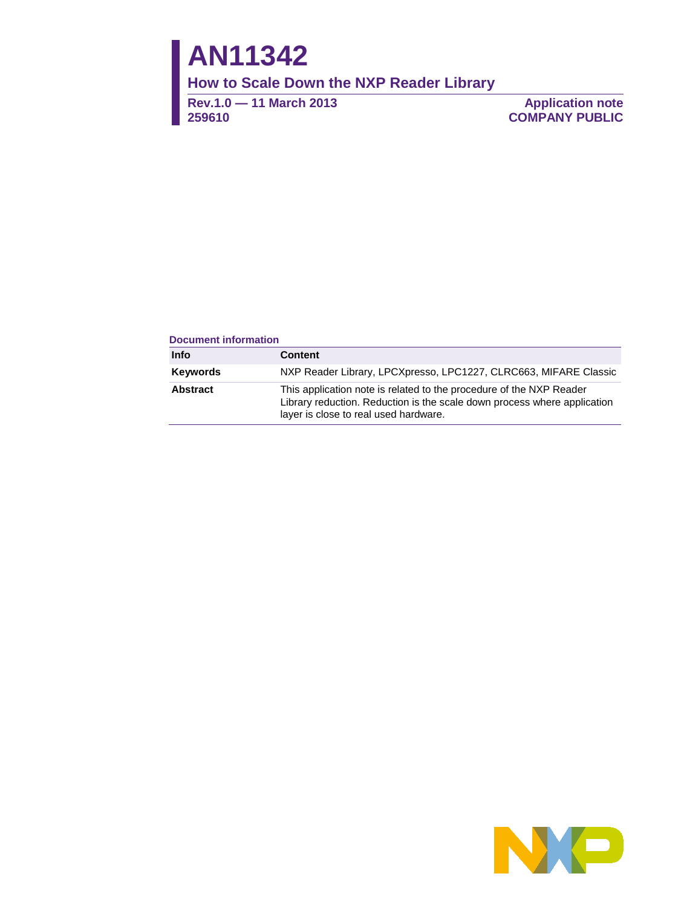# **AN11342**

**How to Scale Down the NXP Reader Library**

**Rev.1.0 — 11 March 2013 259610**

**Application note COMPANY PUBLIC**

#### **Document information**

| <b>Info</b> | <b>Content</b>                                                                                                                                                                           |
|-------------|------------------------------------------------------------------------------------------------------------------------------------------------------------------------------------------|
| Keywords    | NXP Reader Library, LPCXpresso, LPC1227, CLRC663, MIFARE Classic                                                                                                                         |
| Abstract    | This application note is related to the procedure of the NXP Reader<br>Library reduction. Reduction is the scale down process where application<br>layer is close to real used hardware. |

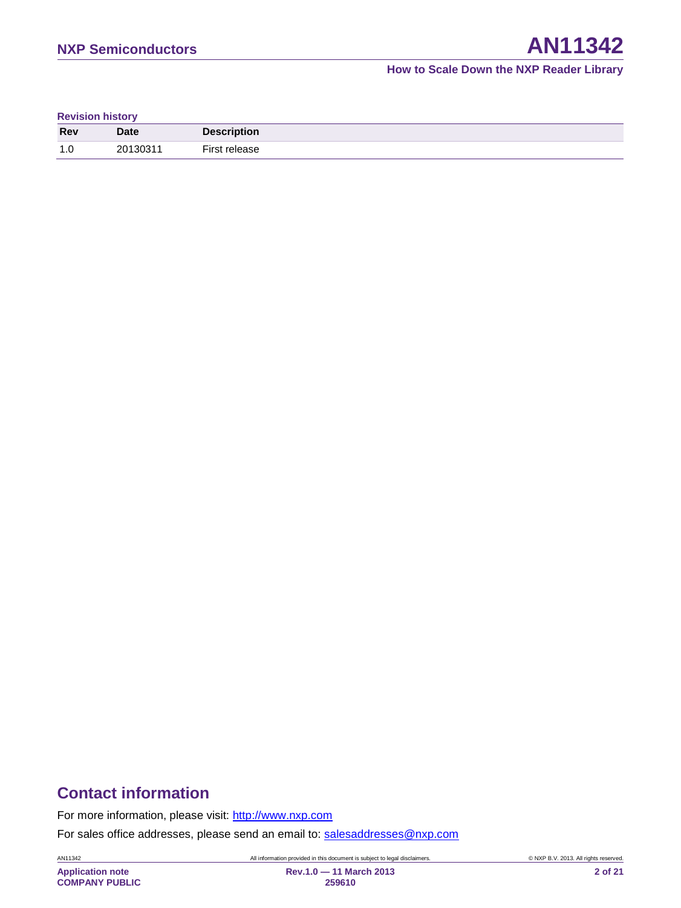#### **Revision history**

| <b>Rev</b>            | <b>Date</b> | <b>Description</b> |
|-----------------------|-------------|--------------------|
| 1 <sub>c</sub><br>، ۱ | 20130311    | First<br>release   |

# **Contact information**

For more information, please visit: [http://www.nxp.com](http://www.nxp.com/)

For sales office addresses, please send an email to: [salesaddresses@nxp.com](mailto:salesaddresses@nxp.com)

AN11342 All information provided in this document is subject to legal disclaimers. © NXP B.V. 2013. All rights reserved.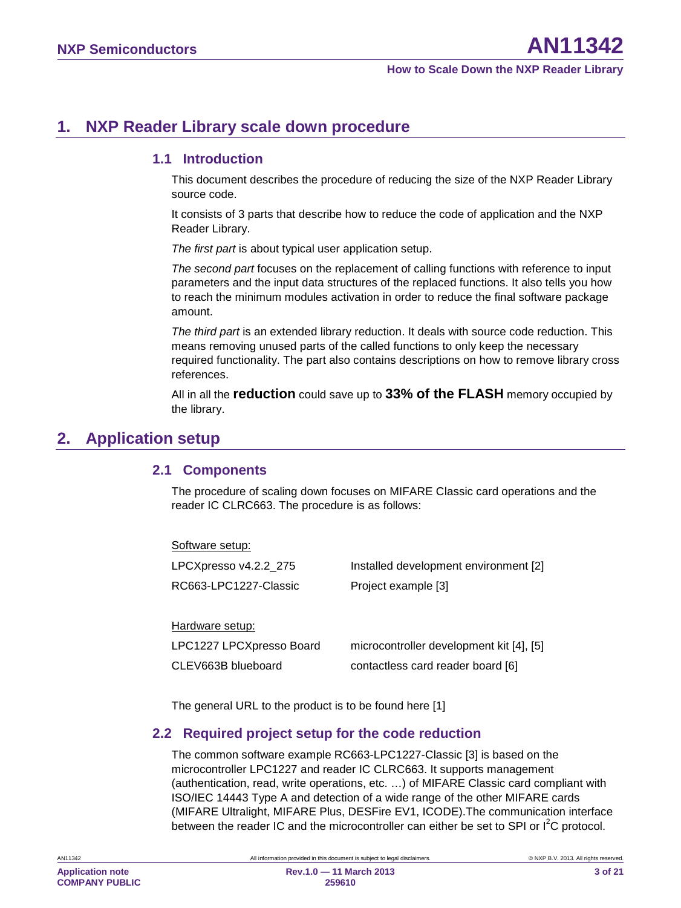# <span id="page-2-1"></span>**1. NXP Reader Library scale down procedure**

## <span id="page-2-2"></span>**1.1 Introduction**

This document describes the procedure of reducing the size of the NXP Reader Library source code.

It consists of 3 parts that describe how to reduce the code of application and the NXP Reader Library.

*The first part* is about typical user application setup.

*The second part* focuses on the replacement of calling functions with reference to input parameters and the input data structures of the replaced functions. It also tells you how to reach the minimum modules activation in order to reduce the final software package amount.

*The third part* is an extended library reduction. It deals with source code reduction. This means removing unused parts of the called functions to only keep the necessary required functionality. The part also contains descriptions on how to remove library cross references.

All in all the **reduction** could save up to **33% of the FLASH** memory occupied by the library.

# <span id="page-2-0"></span>**2. Application setup**

## <span id="page-2-3"></span>**2.1 Components**

The procedure of scaling down focuses on MIFARE Classic card operations and the reader IC CLRC663. The procedure is as follows:

| Software setup:          |                                          |
|--------------------------|------------------------------------------|
| LPCXpresso v4.2.2_275    | Installed development environment [2]    |
| RC663-LPC1227-Classic    | Project example [3]                      |
|                          |                                          |
| Hardware setup:          |                                          |
| LPC1227 LPCXpresso Board | microcontroller development kit [4], [5] |
| CLEV663B blueboard       | contactless card reader board [6]        |

<span id="page-2-4"></span>The general URL to the product is to be found here [1]

## **2.2 Required project setup for the code reduction**

The common software example RC663-LPC1227-Classic [3] is based on the microcontroller LPC1227 and reader IC CLRC663. It supports management (authentication, read, write operations, etc. …) of MIFARE Classic card compliant with ISO/IEC 14443 Type A and detection of a wide range of the other MIFARE cards (MIFARE Ultralight, MIFARE Plus, DESFire EV1, ICODE).The communication interface between the reader IC and the microcontroller can either be set to SPI or  $I^2C$  protocol.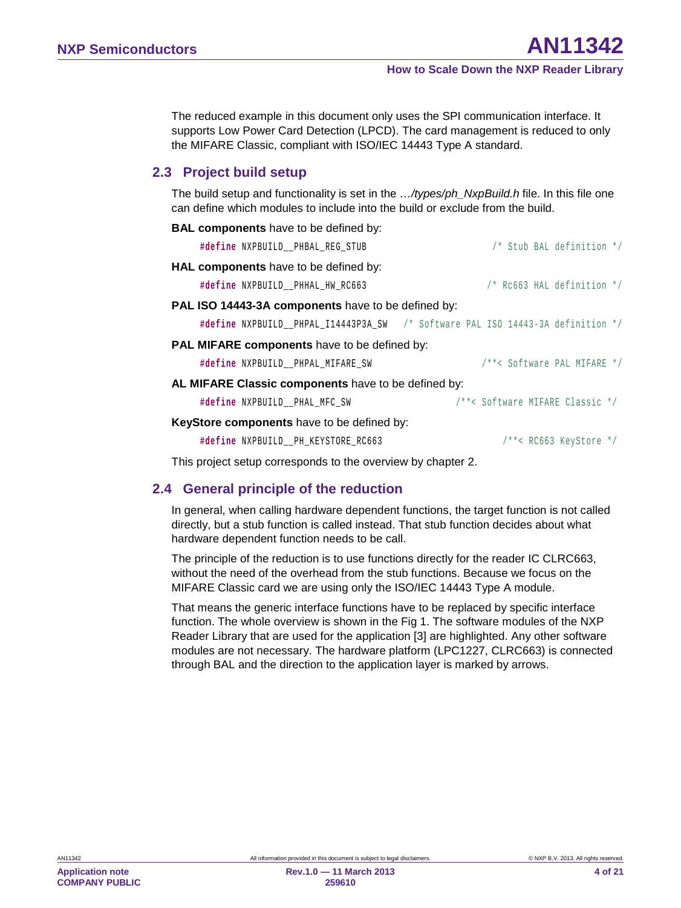The reduced example in this document only uses the SPI communication interface. It supports Low Power Card Detection (LPCD). The card management is reduced to only the MIFARE Classic, compliant with ISO/IEC 14443 Type A standard.

## <span id="page-3-0"></span>**2.3 Project build setup**

The build setup and functionality is set in the *…/types/ph\_NxpBuild.h* file. In this file one can define which modules to include into the build or exclude from the build.

| <b>BAL components</b> have to be defined by:                                    |
|---------------------------------------------------------------------------------|
| /* Stub BAL definition */<br>#define NXPBUILD PHBAL REG STUB                    |
| HAL components have to be defined by:                                           |
| $/*$ Rc663 HAL definition $*/$<br>#define NXPBUILD PHHAL HW RC663               |
| PAL ISO 14443-3A components have to be defined by:                              |
| #define NXPBUILD__PHPAL_I14443P3A_SW /* Software PAL ISO 14443-3A definition */ |
| <b>PAL MIFARE components</b> have to be defined by:                             |
| /**< Software PAL MIFARE */<br>#define NXPBUILD PHPAL MIFARE SW                 |
| AL MIFARE Classic components have to be defined by:                             |
| /**< Software MIFARE Classic */<br>#define NXPBUILD_PHAL_MFC_SW                 |
| <b>KeyStore components</b> have to be defined by:                               |
| #define NXPBUILD PH KEYSTORE RC663<br>$/**<$ RC663 KeyStore */                  |

<span id="page-3-1"></span>This project setup corresponds to the overview by chapter [2.](#page-2-0)

## **2.4 General principle of the reduction**

In general, when calling hardware dependent functions, the target function is not called directly, but a stub function is called instead. That stub function decides about what hardware dependent function needs to be call.

The principle of the reduction is to use functions directly for the reader IC CLRC663, without the need of the overhead from the stub functions. Because we focus on the MIFARE Classic card we are using only the ISO/IEC 14443 Type A module.

That means the generic interface functions have to be replaced by specific interface function. The whole overview is shown in the [Fig 1.](#page-4-0) The software modules of the NXP Reader Library that are used for the application [3] are highlighted. Any other software modules are not necessary. The hardware platform (LPC1227, CLRC663) is connected through BAL and the direction to the application layer is marked by arrows.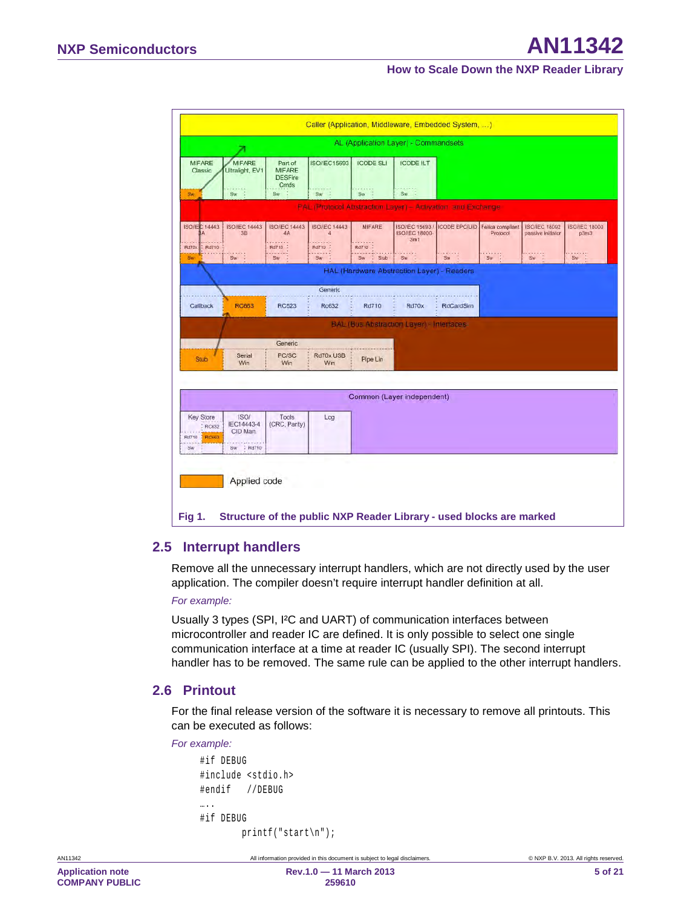|                                        |                                       |                                                    |                                                 |                        | AL (Application Layer) - Commandsets                        |                        |                                    |                                           |                             |
|----------------------------------------|---------------------------------------|----------------------------------------------------|-------------------------------------------------|------------------------|-------------------------------------------------------------|------------------------|------------------------------------|-------------------------------------------|-----------------------------|
| <b>MIFARE</b><br>Classic               | <b>MIFARE</b><br>Ultralight, EV1      | Part of<br><b>MIFARE</b><br><b>DESFire</b><br>Cmds | <b>ISO/IEC15693</b>                             | <b>ICODE SLI</b>       | <b>ICODE ILT</b>                                            |                        |                                    |                                           |                             |
| Sw                                     | SW                                    | Sw                                                 | <b>PERKIN</b><br>Sw:                            | 21222<br>Sw            | $Sw$ :                                                      |                        |                                    |                                           |                             |
|                                        |                                       |                                                    |                                                 |                        | PAL (Protocol Abstraction Layer) - Activation, and Exchange |                        |                                    |                                           |                             |
| <b>ISO/IEC 14443</b><br>Rd710<br>Rd70x | <b>ISO/IEC 14443</b><br>3B            | <b>ISO/IEC 14443</b><br>4A<br>Rd710 :              | <b>ISO/IEC 14443</b><br>$\overline{a}$<br>Rd710 | <b>MIFARE</b><br>Rd710 | ISO/IEC 15693<br><b>ISO/IEC 18000</b><br>3 <sub>m1</sub>    | <b>ICODE EPC/UID</b>   | Felica compliant<br>Protocol       | <b>ISO/IEC 18092</b><br>passive initiator | <b>SO/IEC 18000</b><br>p3m3 |
| <b>Sw</b>                              | $S_{W}$<br>ĸ                          | Sw                                                 | $-222222$<br>$S_W$                              | <b>Sw</b><br>Stub      | Sw                                                          | $\frac{1}{2}$<br>$S_N$ | $\frac{1}{2}$ $\frac{1}{2}$<br>Sw- | $\frac{1}{2}$<br>Sw                       | $\frac{1}{2}$               |
|                                        |                                       |                                                    |                                                 |                        | HAL (Hardware Abstraction Layer) - Readers                  |                        |                                    |                                           |                             |
|                                        |                                       |                                                    | Generic                                         |                        |                                                             |                        |                                    |                                           |                             |
| Callback                               | <b>RC663</b>                          | <b>RC523</b>                                       | Rc632                                           | Rd710                  | Rd70x                                                       | <b>RdCardSim</b>       |                                    |                                           |                             |
|                                        |                                       |                                                    |                                                 |                        | <b>BAL (Bus Abstraction Layer) - Interfaces</b>             |                        |                                    |                                           |                             |
|                                        |                                       | Generic                                            |                                                 |                        |                                                             |                        |                                    |                                           |                             |
| <b>Stub</b>                            | Serial<br>Win                         | <b>PC/SC</b><br>Win                                | Rd70x USB<br>Win                                | Pipe Lin               |                                                             |                        |                                    |                                           |                             |
|                                        |                                       |                                                    |                                                 |                        |                                                             |                        |                                    |                                           |                             |
|                                        |                                       |                                                    |                                                 |                        | Common (Layer independent)                                  |                        |                                    |                                           |                             |
|                                        |                                       |                                                    |                                                 |                        |                                                             |                        |                                    |                                           |                             |
| <b>Key Store</b><br>RC632              | <b>ISO/</b><br>IEC14443-4<br>CID Man. | Tools<br>(CRC, Parity)                             | Log                                             |                        |                                                             |                        |                                    |                                           |                             |
| Rd710<br>RCE63                         |                                       |                                                    |                                                 |                        |                                                             |                        |                                    |                                           |                             |

## <span id="page-4-1"></span><span id="page-4-0"></span>**2.5 Interrupt handlers**

Remove all the unnecessary interrupt handlers, which are not directly used by the user application. The compiler doesn't require interrupt handler definition at all.

#### *For example:*

Usually 3 types (SPI, I²C and UART) of communication interfaces between microcontroller and reader IC are defined. It is only possible to select one single communication interface at a time at reader IC (usually SPI). The second interrupt handler has to be removed. The same rule can be applied to the other interrupt handlers.

## <span id="page-4-2"></span>**2.6 Printout**

For the final release version of the software it is necessary to remove all printouts. This can be executed as follows:

#### *For example:*

```
#if DEBUG
#include <stdio.h>
#endif //DEBUG
….<br>……
#if DEBUG
         printf("start\n");
```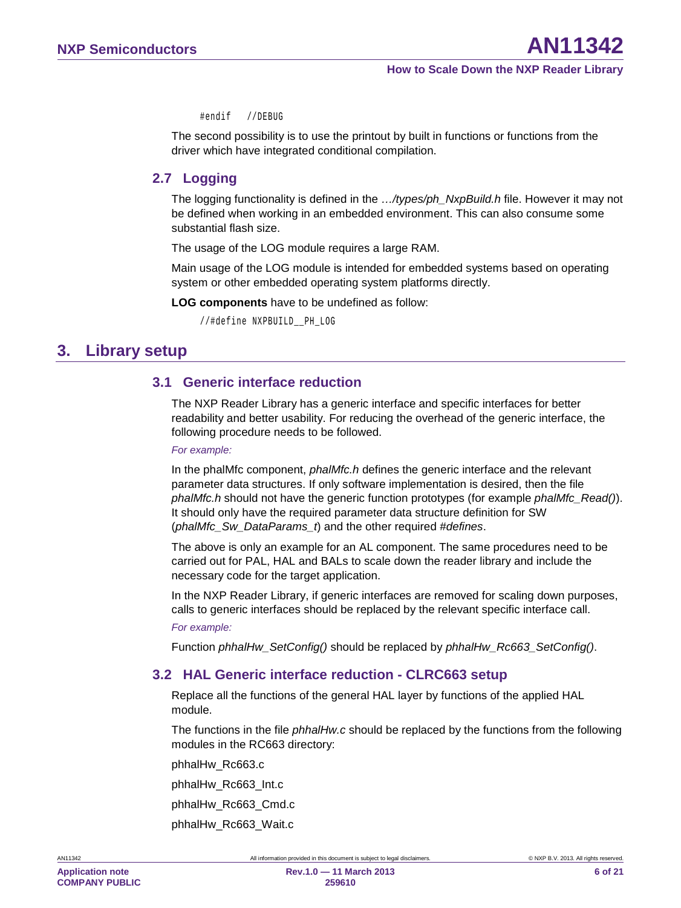#endif //DEBUG

The second possibility is to use the printout by built in functions or functions from the driver which have integrated conditional compilation.

## <span id="page-5-0"></span>**2.7 Logging**

The logging functionality is defined in the *…/types/ph\_NxpBuild.h* file. However it may not be defined when working in an embedded environment. This can also consume some substantial flash size.

The usage of the LOG module requires a large RAM.

Main usage of the LOG module is intended for embedded systems based on operating system or other embedded operating system platforms directly.

**LOG components** have to be undefined as follow:

//#define NXPBUILD\_\_PH\_LOG

# <span id="page-5-1"></span>**3. Library setup**

## <span id="page-5-2"></span>**3.1 Generic interface reduction**

The NXP Reader Library has a generic interface and specific interfaces for better readability and better usability. For reducing the overhead of the generic interface, the following procedure needs to be followed.

#### *For example:*

In the phalMfc component, *phalMfc.h* defines the generic interface and the relevant parameter data structures. If only software implementation is desired, then the file *phalMfc.h* should not have the generic function prototypes (for example *phalMfc\_Read()*). It should only have the required parameter data structure definition for SW (*phalMfc\_Sw\_DataParams\_t*) and the other required *#defines*.

The above is only an example for an AL component. The same procedures need to be carried out for PAL, HAL and BALs to scale down the reader library and include the necessary code for the target application.

In the NXP Reader Library, if generic interfaces are removed for scaling down purposes, calls to generic interfaces should be replaced by the relevant specific interface call.

#### *For example:*

<span id="page-5-3"></span>Function *phhalHw\_SetConfig()* should be replaced by *phhalHw\_Rc663\_SetConfig()*.

## **3.2 HAL Generic interface reduction - CLRC663 setup**

Replace all the functions of the general HAL layer by functions of the applied HAL module.

The functions in the file *phhalHw.c* should be replaced by the functions from the following modules in the RC663 directory:

phhalHw\_Rc663.c

phhalHw\_Rc663\_Int.c

- phhalHw\_Rc663\_Cmd.c
- phhalHw\_Rc663\_Wait.c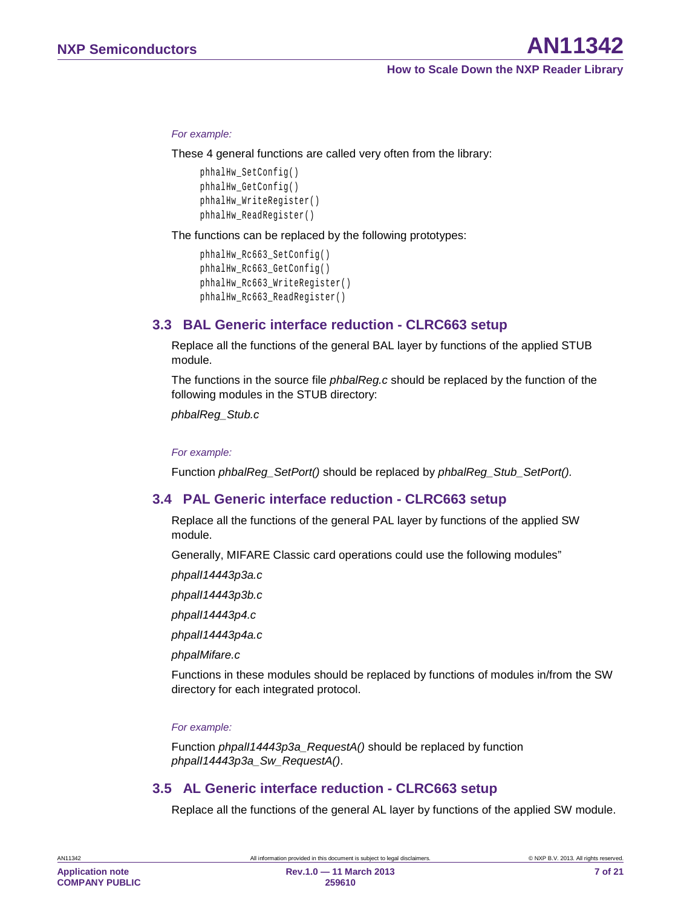#### *For example:*

These 4 general functions are called very often from the library:

```
phhalHw_SetConfig()
phhalHw_GetConfig()
phhalHw_WriteRegister() 
phhalHw_ReadRegister()
```
The functions can be replaced by the following prototypes:

```
phhalHw_Rc663_SetConfig()
phhalHw_Rc663_GetConfig()
phhalHw_Rc663_WriteRegister() 
phhalHw_Rc663_ReadRegister()
```
## <span id="page-6-1"></span>**3.3 BAL Generic interface reduction - CLRC663 setup**

Replace all the functions of the general BAL layer by functions of the applied STUB module.

The functions in the source file *phbalReg.c* should be replaced by the function of the following modules in the STUB directory:

*phbalReg\_Stub.c*

*For example:*

<span id="page-6-2"></span>Function *phbalReg\_SetPort()* should be replaced by *phbalReg\_Stub\_SetPort().*

## **3.4 PAL Generic interface reduction - CLRC663 setup**

Replace all the functions of the general PAL layer by functions of the applied SW module.

Generally, MIFARE Classic card operations could use the following modules"

*phpalI14443p3a.c*

*phpalI14443p3b.c*

*phpalI14443p4.c*

*phpalI14443p4a.c*

*phpalMifare.c*

Functions in these modules should be replaced by functions of modules in/from the SW directory for each integrated protocol.

#### *For example:*

Function *phpalI14443p3a\_RequestA()* should be replaced by function *phpalI14443p3a\_Sw\_RequestA()*.

### <span id="page-6-0"></span>**3.5 AL Generic interface reduction - CLRC663 setup**

Replace all the functions of the general AL layer by functions of the applied SW module.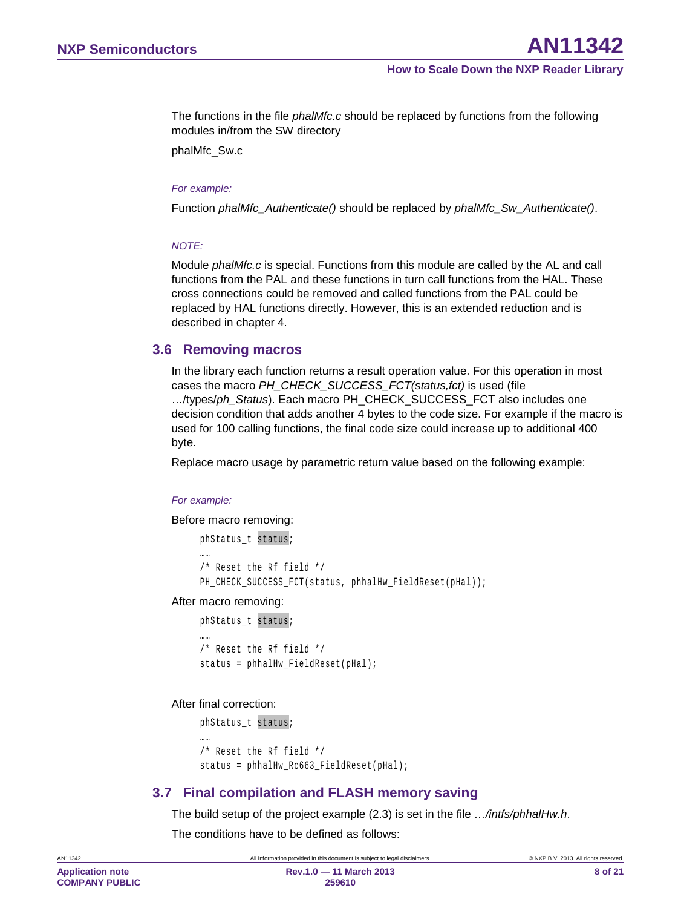The functions in the file *phalMfc.c* should be replaced by functions from the following modules in/from the SW directory

phalMfc\_Sw.c

#### *For example:*

Function *phalMfc\_Authenticate()* should be replaced by *phalMfc\_Sw\_Authenticate()*.

#### *NOTE:*

Module *phalMfc.c* is special. Functions from this module are called by the AL and call functions from the PAL and these functions in turn call functions from the HAL. These cross connections could be removed and called functions from the PAL could be replaced by HAL functions directly. However, this is an extended reduction and is described in chapter [4.](#page-9-0)

#### <span id="page-7-0"></span>**3.6 Removing macros**

In the library each function returns a result operation value. For this operation in most cases the macro *PH\_CHECK\_SUCCESS\_FCT(status,fct)* is used (file …/types/*ph\_Status*). Each macro PH\_CHECK\_SUCCESS\_FCT also includes one decision condition that adds another 4 bytes to the code size. For example if the macro is used for 100 calling functions, the final code size could increase up to additional 400 byte.

Replace macro usage by parametric return value based on the following example:

#### *For example:*

Before macro removing:

```
phStatus t status;
……
/* Reset the Rf field */
PH_CHECK_SUCCESS_FCT(status, phhalHw_FieldReset(pHal));
```
After macro removing:

```
phStatus_t status; 
……
/* Reset the Rf field */
status = phhalHw FieldReset(pHal);
```
#### After final correction:

```
phStatus_t status; 
……
/* Reset the Rf field */
status = phhalHw Rc663 FieldReset(pHal);
```
## <span id="page-7-1"></span>**3.7 Final compilation and FLASH memory saving**

The build setup of the project example [\(2.3\)](#page-3-0) is set in the file *…/intfs/phhalHw.h*.

The conditions have to be defined as follows: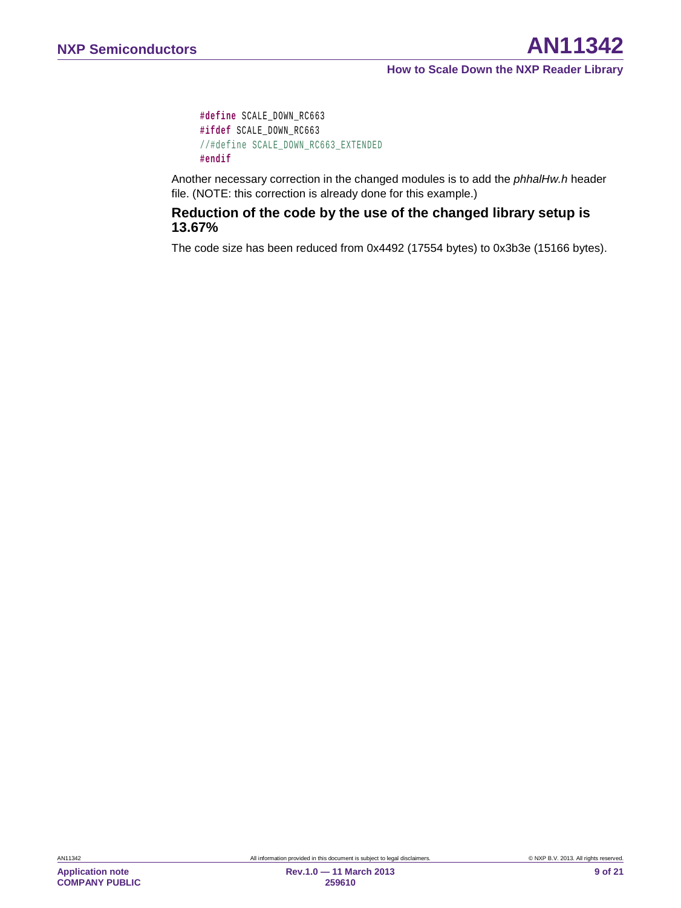```
#define SCALE_DOWN_RC663
#ifdef SCALE_DOWN_RC663
//#define SCALE_DOWN_RC663_EXTENDED
#endif
```
Another necessary correction in the changed modules is to add the *phhalHw.h* header file. (NOTE: this correction is already done for this example.)

## **Reduction of the code by the use of the changed library setup is 13.67%**

The code size has been reduced from 0x4492 (17554 bytes) to 0x3b3e (15166 bytes).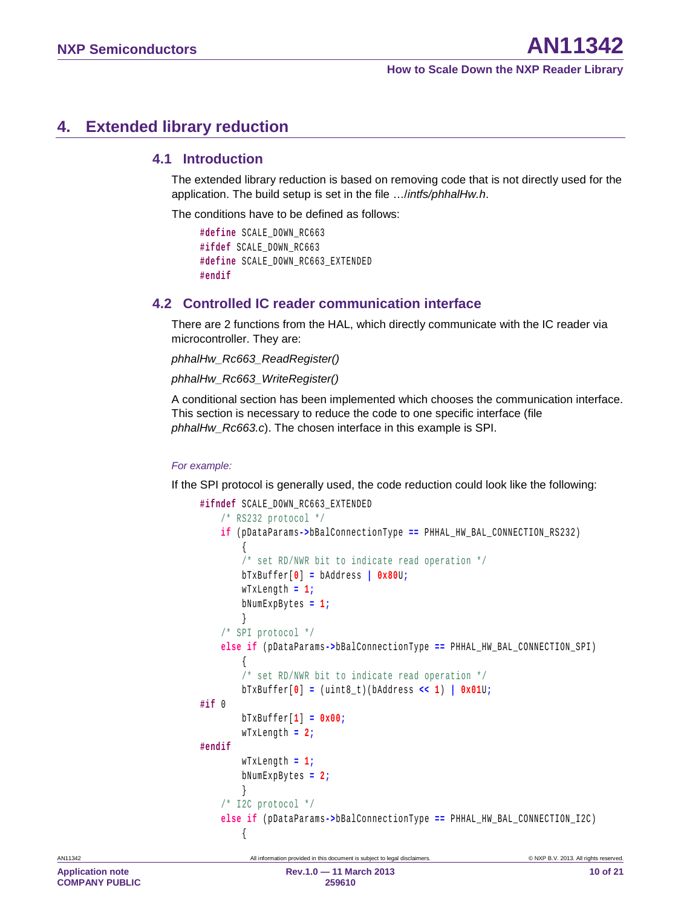# <span id="page-9-0"></span>**4. Extended library reduction**

## <span id="page-9-1"></span>**4.1 Introduction**

The extended library reduction is based on removing code that is not directly used for the application. The build setup is set in the file …/*intfs/phhalHw.h*.

The conditions have to be defined as follows:

```
#define SCALE_DOWN_RC663
#ifdef SCALE_DOWN_RC663
#define SCALE_DOWN_RC663_EXTENDED
#endif
```
## <span id="page-9-2"></span>**4.2 Controlled IC reader communication interface**

There are 2 functions from the HAL, which directly communicate with the IC reader via microcontroller. They are:

```
phhalHw_Rc663_ReadRegister()
```

```
phhalHw_Rc663_WriteRegister()
```
A conditional section has been implemented which chooses the communication interface. This section is necessary to reduce the code to one specific interface (file *phhalHw\_Rc663.c*). The chosen interface in this example is SPI.

#### *For example:*

If the SPI protocol is generally used, the code reduction could look like the following:

```
#ifndef SCALE_DOWN_RC663_EXTENDED
    /* RS232 protocol */
    if (pDataParams->bBalConnectionType == PHHAL_HW_BAL_CONNECTION_RS232)
\sim 1
         /* set RD/NWR bit to indicate read operation */
        bTxBuffer[0] = bAddress | 0x80U;
        wTxLength = 1;
        bNumExpBytes = 1;
\vert /* SPI protocol */
    else if (pDataParams->bBalConnectionType == PHHAL_HW_BAL_CONNECTION_SPI)
\sim 1
         /* set RD/NWR bit to indicate read operation */
        bTxBuffer[0] = (uint8_t)(bAddress << 1) | 0x01U;
#if 0 
        bTxBuffer[1] = 0x00;
        wTxLength = 2;
#endif
        wTxLength = 1;
        bNumExpBytes = 2;
 } 
    /* I2C protocol */
    else if (pDataParams->bBalConnectionType == PHHAL_HW_BAL_CONNECTION_I2C)
\sim 1
```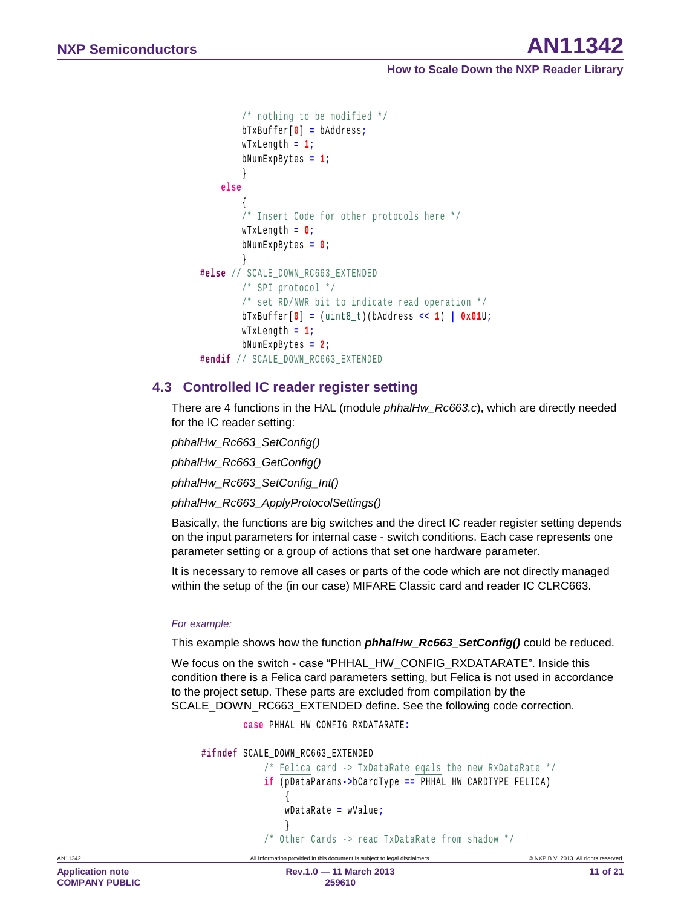# **NXP Semiconductors AN11342**

**How to Scale Down the NXP Reader Library**

```
 /* nothing to be modified */
        bTxBuffer[0] = bAddress;
        wTxLength = 1;
        bNumExpBytes = 1;
\vert else
\sim 1
         /* Insert Code for other protocols here */
        wTxLength = 0;
        bNumExpBytes = 0;
\vert#else // SCALE_DOWN_RC663_EXTENDED
        /* SPI protocol */
         /* set RD/NWR bit to indicate read operation */
        bTxBuffer[0] = (uint8_t)(bAddress << 1) | 0x01U;
        wTxLength = 1;
        bNumExpBytes = 2;
#endif // SCALE_DOWN_RC663_EXTENDED
```
## <span id="page-10-0"></span>**4.3 Controlled IC reader register setting**

There are 4 functions in the HAL (module *phhalHw\_Rc663.c*), which are directly needed for the IC reader setting:

*phhalHw\_Rc663\_SetConfig() phhalHw\_Rc663\_GetConfig() phhalHw\_Rc663\_SetConfig\_Int() phhalHw\_Rc663\_ApplyProtocolSettings()*

Basically, the functions are big switches and the direct IC reader register setting depends on the input parameters for internal case - switch conditions. Each case represents one parameter setting or a group of actions that set one hardware parameter.

It is necessary to remove all cases or parts of the code which are not directly managed within the setup of the (in our case) MIFARE Classic card and reader IC CLRC663.

#### *For example:*

This example shows how the function *phhalHw\_Rc663\_SetConfig()* could be reduced.

We focus on the switch - case "PHHAL\_HW\_CONFIG\_RXDATARATE". Inside this condition there is a Felica card parameters setting, but Felica is not used in accordance to the project setup. These parts are excluded from compilation by the SCALE\_DOWN\_RC663\_EXTENDED define. See the following code correction.

**case** PHHAL\_HW\_CONFIG\_RXDATARATE**:**

```
#ifndef SCALE_DOWN_RC663_EXTENDED
           /* Felica card -> TxDataRate eqals the new RxDataRate */
           if (pDataParams->bCardType == PHHAL_HW_CARDTYPE_FELICA)
 { 
               wDataRate = wValue;
 } 
           /* Other Cards -> read TxDataRate from shadow */
```
**Application note COMPANY PUBLIC**

AN11342 **All information provided in this document is subject to legal disclaimers.** © NXP B.V. 2013. All rights reserved. **Rev.1.0 — 11 March 2013** 

**259610**

**11 of 21**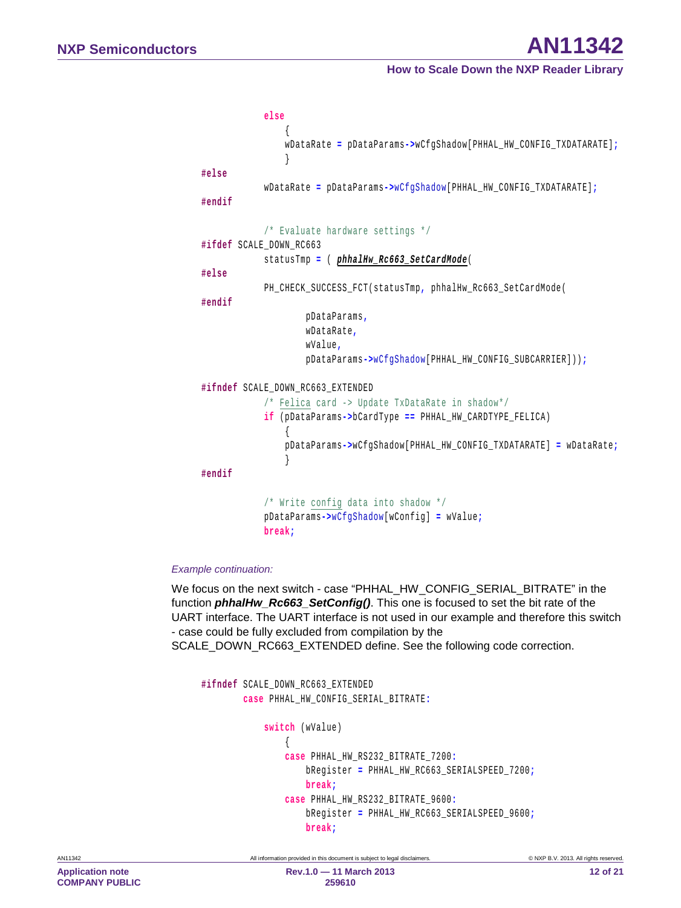```
 else
 { 
                wDataRate = pDataParams->wCfgShadow[PHHAL_HW_CONFIG_TXDATARATE];
 } 
#else
            wDataRate = pDataParams->wCfgShadow[PHHAL_HW_CONFIG_TXDATARATE];
#endif
            /* Evaluate hardware settings */
#ifdef SCALE_DOWN_RC663
            statusTmp = ( phhalHw_Rc663_SetCardMode( 
#else
            PH_CHECK_SUCCESS_FCT(statusTmp, phhalHw_Rc663_SetCardMode(
#endif
                    pDataParams,
                    wDataRate,
                    wValue,
                    pDataParams->wCfgShadow[PHHAL_HW_CONFIG_SUBCARRIER]));
#ifndef SCALE_DOWN_RC663_EXTENDED
            /* Felica card -> Update TxDataRate in shadow*/
            if (pDataParams->bCardType == PHHAL_HW_CARDTYPE_FELICA)
 { 
                pDataParams->wCfgShadow[PHHAL_HW_CONFIG_TXDATARATE] = wDataRate;
 } 
#endif
            /* Write config data into shadow */
            pDataParams->wCfgShadow[wConfig] = wValue;
            break;
```
#### *Example continuation:*

We focus on the next switch - case "PHHAL\_HW\_CONFIG\_SERIAL\_BITRATE" in the function *phhalHw\_Rc663\_SetConfig()*. This one is focused to set the bit rate of the UART interface. The UART interface is not used in our example and therefore this switch - case could be fully excluded from compilation by the SCALE\_DOWN\_RC663\_EXTENDED define. See the following code correction.

```
#ifndef SCALE_DOWN_RC663_EXTENDED
        case PHHAL_HW_CONFIG_SERIAL_BITRATE:
            switch (wValue)
 { 
                case PHHAL_HW_RS232_BITRATE_7200:
                    bRegister = PHHAL_HW_RC663_SERIALSPEED_7200;
                    break;
                case PHHAL_HW_RS232_BITRATE_9600:
                    bRegister = PHHAL_HW_RC663_SERIALSPEED_9600;
                    break;
```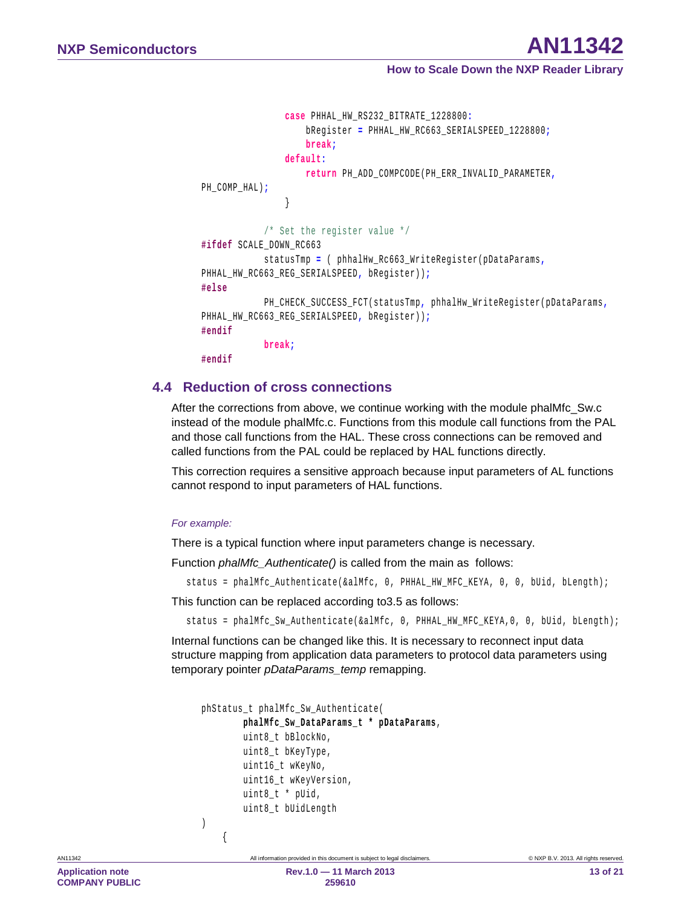```
 case PHHAL_HW_RS232_BITRATE_1228800:
                     bRegister = PHHAL_HW_RC663_SERIALSPEED_1228800;
                     break;
                 default:
                     return PH_ADD_COMPCODE(PH_ERR_INVALID_PARAMETER,
PH_COMP_HAL);
 } 
             /* Set the register value */
#ifdef SCALE_DOWN_RC663
             statusTmp = ( phhalHw_Rc663_WriteRegister(pDataParams,
PHHAL_HW_RC663_REG_SERIALSPEED, bRegister));
#else
             PH_CHECK_SUCCESS_FCT(statusTmp, phhalHw_WriteRegister(pDataParams,
PHHAL_HW_RC663_REG_SERIALSPEED, bRegister));
#endif
             break;
#endif
```
## <span id="page-12-0"></span>**4.4 Reduction of cross connections**

After the corrections from above, we continue working with the module phalMfc\_Sw.c instead of the module phalMfc.c. Functions from this module call functions from the PAL and those call functions from the HAL. These cross connections can be removed and called functions from the PAL could be replaced by HAL functions directly.

This correction requires a sensitive approach because input parameters of AL functions cannot respond to input parameters of HAL functions.

#### *For example:*

 $\sim$  1

There is a typical function where input parameters change is necessary.

Function *phalMfc\_Authenticate()* is called from the main as follows:

```
status = phalMfc_Authenticate(&alMfc, 0, PHHAL_HW_MFC_KEYA, 0, 0, bUid, bLength);
```
This function can be replaced according t[o3.5](#page-6-0) as follows:

status = phalMfc\_Sw\_Authenticate(&alMfc, 0, PHHAL\_HW\_MFC\_KEYA,0, 0, bUid, bLength);

Internal functions can be changed like this. It is necessary to reconnect input data structure mapping from application data parameters to protocol data parameters using temporary pointer *pDataParams\_temp* remapping.

```
phStatus_t phalMfc_Sw_Authenticate(
          phalMfc_Sw_DataParams_t * pDataParams, 
         uint8 t bBlockNo,
          uint8_t bKeyType,
          uint16_t wKeyNo,
          uint16_t wKeyVersion,
          uint8_t * pUid,
          uint8_t bUidLength
\left| \right|
```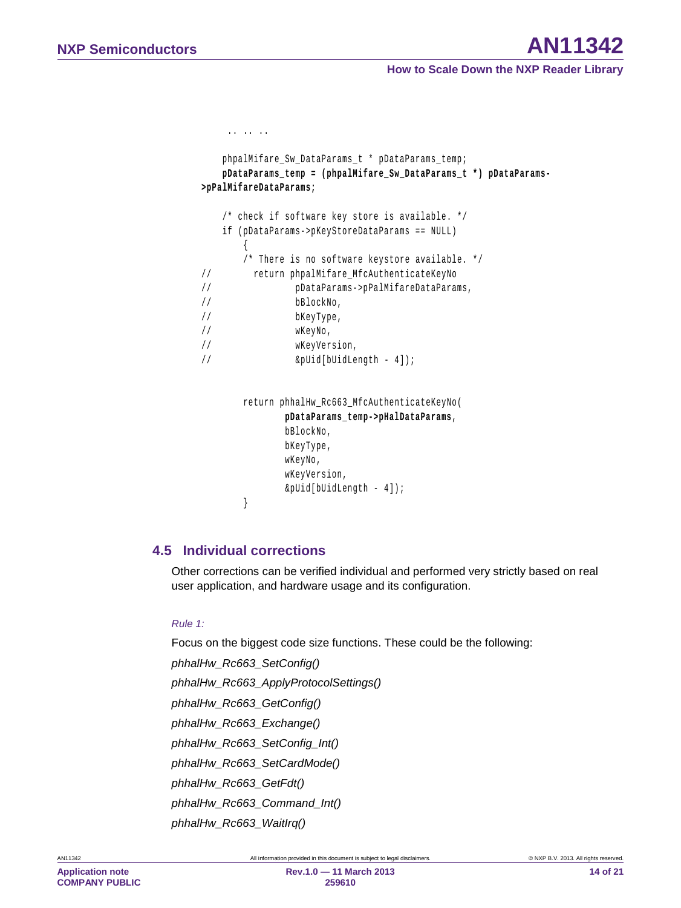```
.. .. ..
    phpalMifare_Sw_DataParams_t * pDataParams_temp; 
    pDataParams_temp = (phpalMifare_Sw_DataParams_t *) pDataParams-
>pPalMifareDataParams;
    /* check if software key store is available. */
    if (pDataParams->pKeyStoreDataParams == NULL)
\sim 1
        /* There is no software keystore available. */
// return phpalMifare_MfcAuthenticateKeyNo
// pDataParams->pPalMifareDataParams,
// bBlockNo,
// bKeyType,
// wKeyNo,
// wKeyVersion,
// &pUid[bUidLength - 4]);
        return phhalHw_Rc663_MfcAuthenticateKeyNo(
               pDataParams_temp->pHalDataParams, 
               bBlockNo,
               bKeyType,
               wKeyNo,
               wKeyVersion,
               &pUid[bUidLength - 4]);
 }
```
## <span id="page-13-0"></span>**4.5 Individual corrections**

Other corrections can be verified individual and performed very strictly based on real user application, and hardware usage and its configuration.

#### *Rule 1:*

Focus on the biggest code size functions. These could be the following:

*phhalHw\_Rc663\_SetConfig()*

*phhalHw\_Rc663\_ApplyProtocolSettings()*

*phhalHw\_Rc663\_GetConfig()*

*phhalHw\_Rc663\_Exchange()*

*phhalHw\_Rc663\_SetConfig\_Int()*

*phhalHw\_Rc663\_SetCardMode()*

*phhalHw\_Rc663\_GetFdt()*

*phhalHw\_Rc663\_Command\_Int()*

*phhalHw\_Rc663\_WaitIrq()*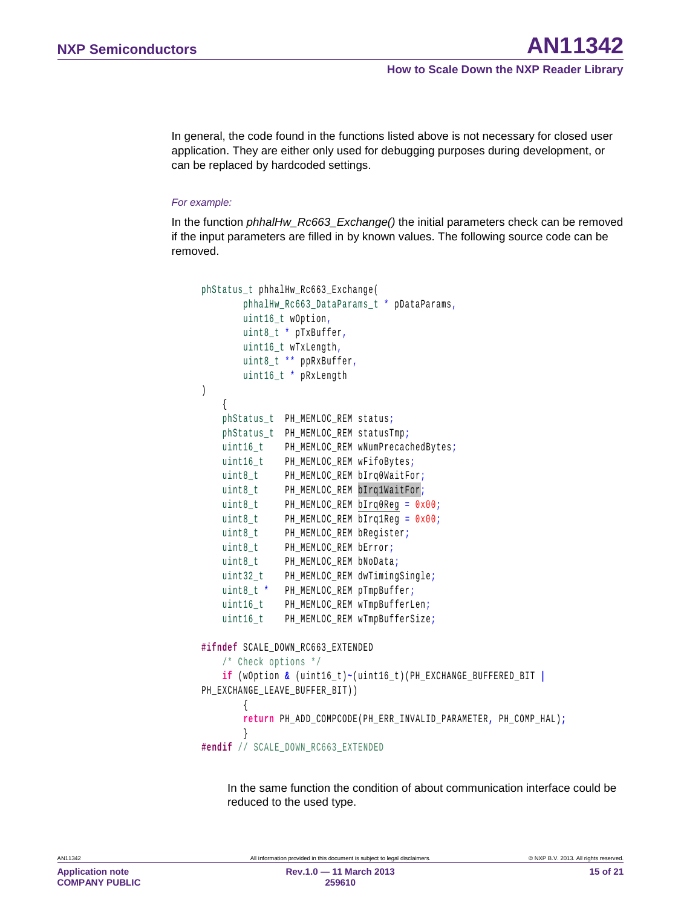In general, the code found in the functions listed above is not necessary for closed user application. They are either only used for debugging purposes during development, or can be replaced by hardcoded settings.

#### *For example:*

In the function *phhalHw\_Rc663\_Exchange()* the initial parameters check can be removed if the input parameters are filled in by known values. The following source code can be removed.

```
phStatus_t phhalHw_Rc663_Exchange(
       phhalHw Rc663 DataParams t * pDataParams,
       uint16 t wOption,
        uint8_t * pTxBuffer,
       uint16 t wTxLength,
        uint8_t ** ppRxBuffer,
        uint16_t * pRxLength
) 
     { 
    phStatus_t PH_MEMLOC_REM status;
    phStatus_t PH_MEMLOC_REM statusTmp;
   uint16_t PH_MEMLOC_REM wNumPrecachedBytes;
    uint16_t PH_MEMLOC_REM wFifoBytes;
   uint8_t PH_MEMLOC_REM bIrq0WaitFor;
   uint8_t PH_MEMLOC_REM bIrq1WaitFor;
   uint8_t PH_MEMLOC_REM bIrq0Reg = 0x00;
   uint8_t PH_MEMLOC_REM bIrq1Reg = 0x00;
   uint8_t PH_MEMLOC_REM bRegister;
   uint8_t PH_MEMLOC_REM bError;
   uint8_t PH_MEMLOC_REM bNoData;
    uint32_t PH_MEMLOC_REM dwTimingSingle;
   uint8 t * PH_MEMLOC_REM pTmpBuffer;
   uint16_t PH_MEMLOC_REM wTmpBufferLen;
    uint16_t PH_MEMLOC_REM wTmpBufferSize;
#ifndef SCALE_DOWN_RC663_EXTENDED
     /* Check options */
    if (wOption & (uint16_t)~(uint16_t)(PH_EXCHANGE_BUFFERED_BIT |
PH_EXCHANGE_LEAVE_BUFFER_BIT))
\sim 1
        return PH_ADD_COMPCODE(PH_ERR_INVALID_PARAMETER, PH_COMP_HAL);
\vert#endif // SCALE_DOWN_RC663_EXTENDED
```
In the same function the condition of about communication interface could be reduced to the used type.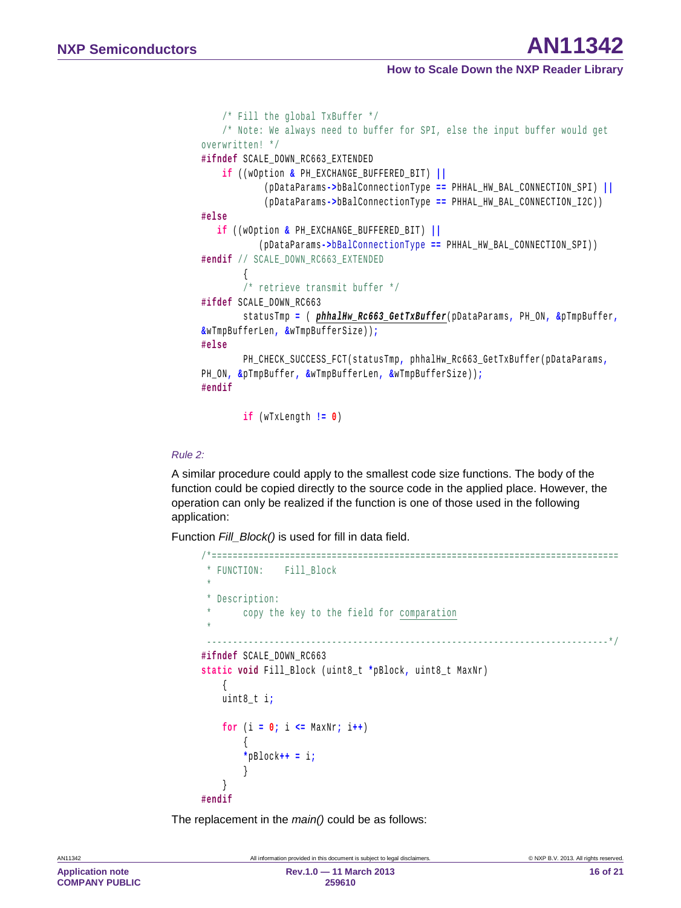```
 /* Fill the global TxBuffer */
     /* Note: We always need to buffer for SPI, else the input buffer would get 
overwritten! */
#ifndef SCALE_DOWN_RC663_EXTENDED
     if ((wOption & PH_EXCHANGE_BUFFERED_BIT) ||
             (pDataParams->bBalConnectionType == PHHAL_HW_BAL_CONNECTION_SPI) ||
             (pDataParams->bBalConnectionType == PHHAL_HW_BAL_CONNECTION_I2C))
#else
    if ((wOption & PH_EXCHANGE_BUFFERED_BIT) || 
            (pDataParams->bBalConnectionType == PHHAL_HW_BAL_CONNECTION_SPI))
#endif // SCALE_DOWN_RC663_EXTENDED
\sim 1
         /* retrieve transmit buffer */
#ifdef SCALE_DOWN_RC663
         statusTmp = ( phhalHw_Rc663_GetTxBuffer(pDataParams, PH_ON, &pTmpBuffer,
&wTmpBufferLen, &wTmpBufferSize));
#else
         PH_CHECK_SUCCESS_FCT(statusTmp, phhalHw_Rc663_GetTxBuffer(pDataParams,
PH_ON, &pTmpBuffer, &wTmpBufferLen, &wTmpBufferSize));
#endif
```
**if** (wTxLength **!= 0**)

#### *Rule 2:*

A similar procedure could apply to the smallest code size functions. The body of the function could be copied directly to the source code in the applied place. However, the operation can only be realized if the function is one of those used in the following application:

Function *Fill\_Block()* is used for fill in data field.

```
/*==============================================================================
 * FUNCTION: Fill_Block
 * 
 * Description:
 * copy the key to the field for comparation
 * 
   -----------------------------------------------------------------------------*/
#ifndef SCALE_DOWN_RC663
static void Fill_Block (uint8_t *pBlock, uint8_t MaxNr)
\sim 1
    uint8_t i;
    for (i = 0; i <= MaxNr; i++) 
\sim 1
         *pBlock++ = i;
\vert\frac{1}{2}#endif
```
The replacement in the *main()* could be as follows: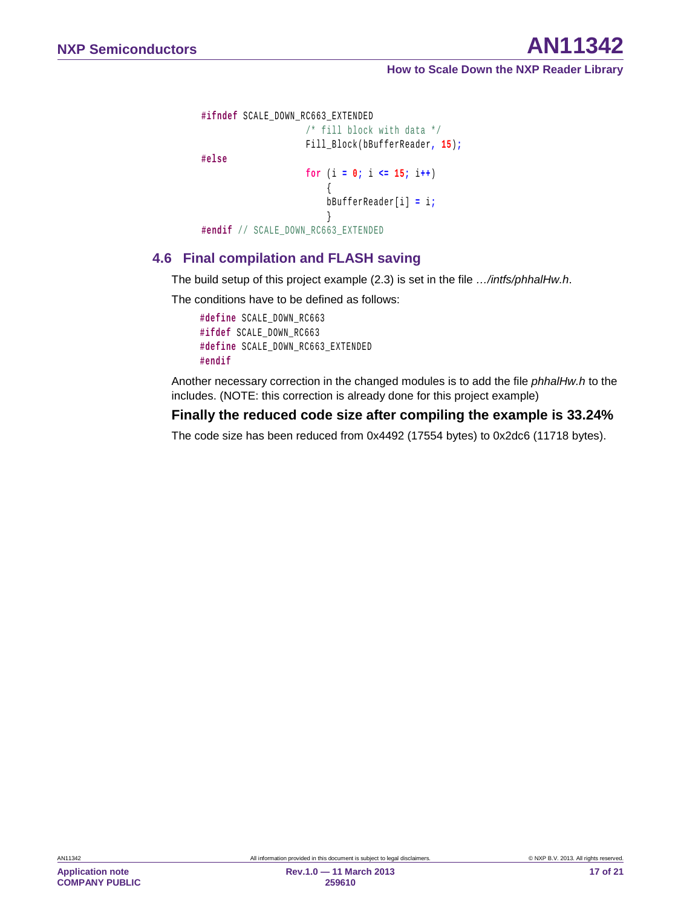```
#ifndef SCALE_DOWN_RC663_EXTENDED
                  /* fill block with data */
                  Fill_Block(bBufferReader, 15);
#else
                  for (i = 0; i <= 15; i++) 
\mathcal{L}bBufferReader[i] = i;
 } 
#endif // SCALE_DOWN_RC663_EXTENDED
```
## <span id="page-16-0"></span>**4.6 Final compilation and FLASH saving**

The build setup of this project example [\(2.3\)](#page-3-0) is set in the file *…/intfs/phhalHw.h*.

The conditions have to be defined as follows:

**#define** SCALE\_DOWN\_RC663 **#ifdef** SCALE\_DOWN\_RC663 **#define** SCALE\_DOWN\_RC663\_EXTENDED **#endif**

Another necessary correction in the changed modules is to add the file *phhalHw.h* to the includes. (NOTE: this correction is already done for this project example)

## **Finally the reduced code size after compiling the example is 33.24%**

The code size has been reduced from 0x4492 (17554 bytes) to 0x2dc6 (11718 bytes).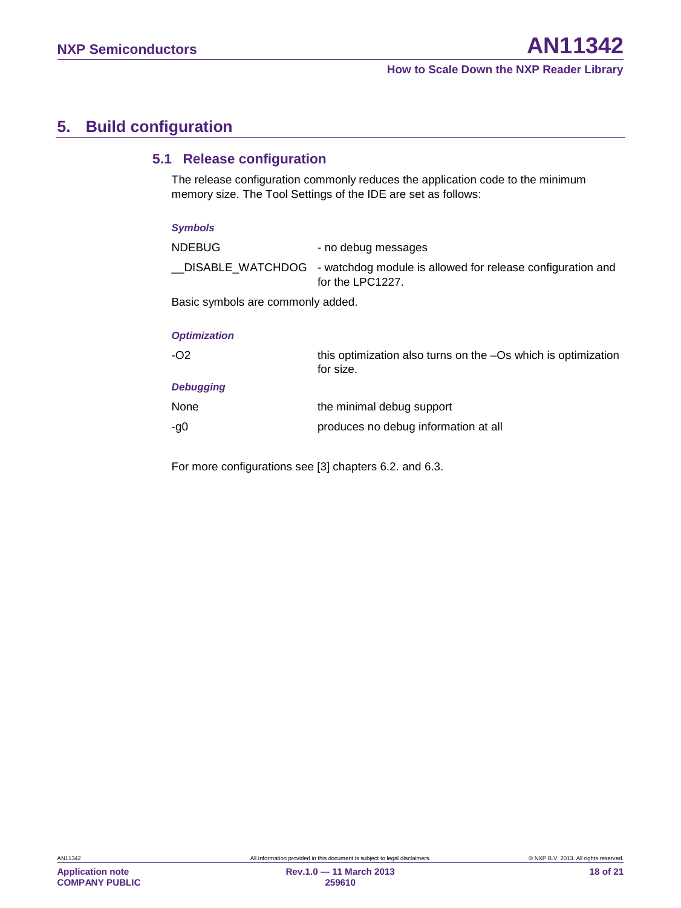# <span id="page-17-0"></span>**5. Build configuration**

## <span id="page-17-1"></span>**5.1 Release configuration**

The release configuration commonly reduces the application code to the minimum memory size. The Tool Settings of the IDE are set as follows:

| <b>Symbols</b>                            |                     |
|-------------------------------------------|---------------------|
| NDEBUG                                    | - no debug messages |
| $DISARI F WATTCHDOG - WatchdoG modula is$ |                     |

\_\_DISABLE\_WATCHDOG - watchdog module is allowed for release configuration and for the LPC1227.

Basic symbols are commonly added.

#### *Optimization*

| $-O2$            | this optimization also turns on the -Os which is optimization<br>for size. |
|------------------|----------------------------------------------------------------------------|
| <b>Debugging</b> |                                                                            |
| None             | the minimal debug support                                                  |
| -g0              | produces no debug information at all                                       |

For more configurations see [3] chapters 6.2. and 6.3.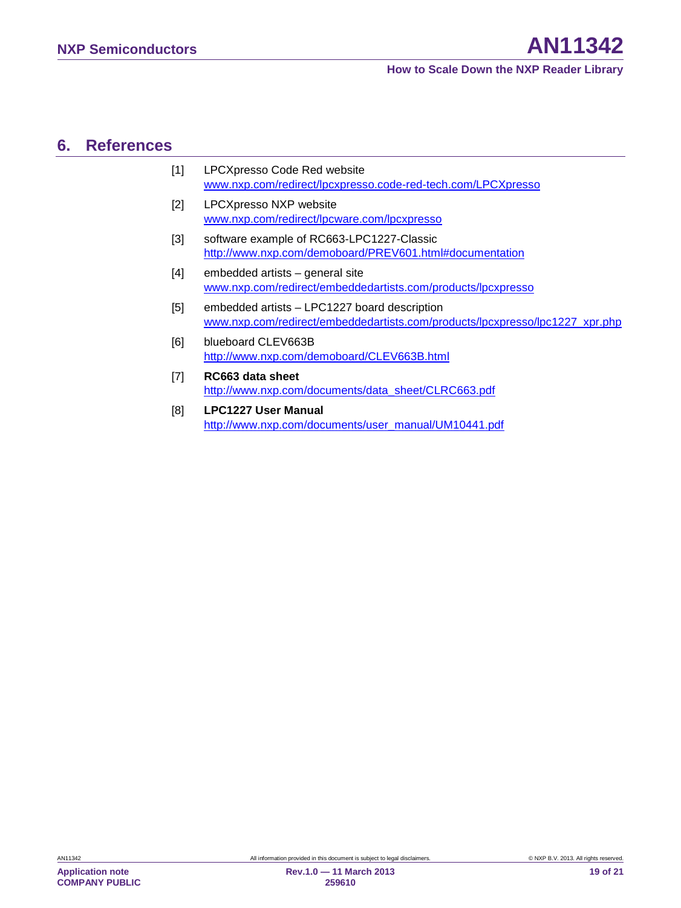# <span id="page-18-0"></span>**6. References**

| $[1]$ | LPCXpresso Code Red website                                  |
|-------|--------------------------------------------------------------|
|       | www.nxp.com/redirect/lpcxpresso.code-red-tech.com/LPCXpresso |

- [2] LPCXpresso NXP website [www.nxp.com/redirect/lpcware.com/lpcxpresso](http://www.nxp.com/redirect/lpcware.com/lpcxpresso)
- [3] software example of RC663-LPC1227-Classic <http://www.nxp.com/demoboard/PREV601.html#documentation>
- [4] embedded artists general site [www.nxp.com/redirect/embeddedartists.com/products/lpcxpresso](http://www.nxp.com/redirect/embeddedartists.com/products/lpcxpresso)
- [5] embedded artists LPC1227 board description [www.nxp.com/redirect/embeddedartists.com/products/lpcxpresso/lpc1227\\_xpr.php](http://www.nxp.com/redirect/embeddedartists.com/products/lpcxpresso/lpc1227_xpr.php)
- [6] blueboard CLEV663B <http://www.nxp.com/demoboard/CLEV663B.html>
- [7] **RC663 data sheet** [http://www.nxp.com/documents/data\\_sheet/CLRC663.pdf](http://www.nxp.com/documents/data_sheet/CLRC663.pdf)
- [8] **LPC1227 User Manual** [http://www.nxp.com/documents/user\\_manual/UM10441.pdf](http://www.nxp.com/documents/user_manual/UM10441.pdf)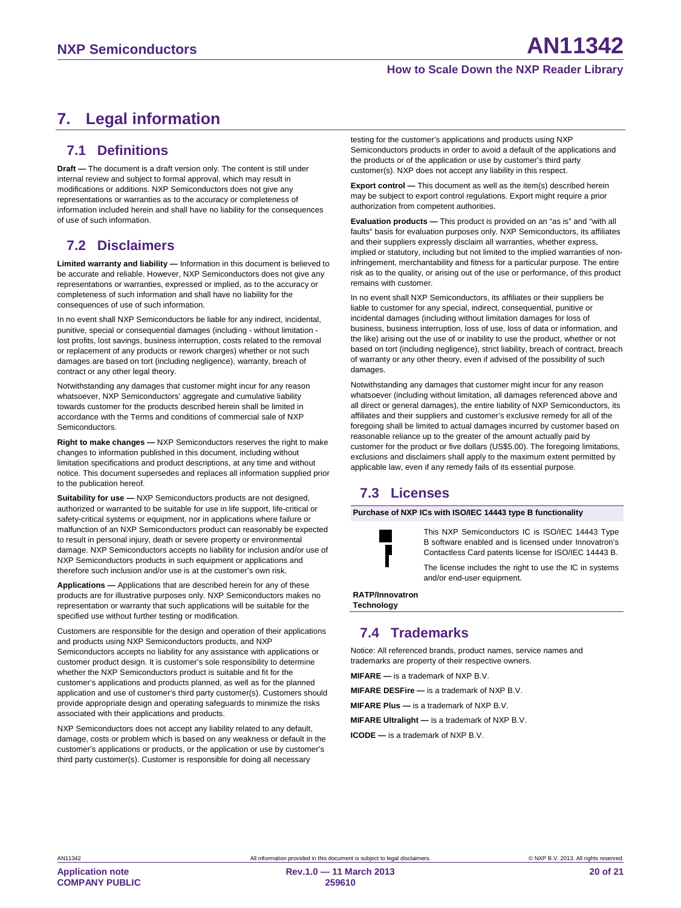# <span id="page-19-0"></span>**7. Legal information**

## <span id="page-19-1"></span>**7.1 Definitions**

**Draft —** The document is a draft version only. The content is still under internal review and subject to formal approval, which may result in modifications or additions. NXP Semiconductors does not give any representations or warranties as to the accuracy or completeness of information included herein and shall have no liability for the consequences of use of such information.

# <span id="page-19-2"></span>**7.2 Disclaimers**

**Limited warranty and liability —** Information in this document is believed to be accurate and reliable. However, NXP Semiconductors does not give any representations or warranties, expressed or implied, as to the accuracy or completeness of such information and shall have no liability for the consequences of use of such information.

In no event shall NXP Semiconductors be liable for any indirect, incidental, punitive, special or consequential damages (including - without limitation lost profits, lost savings, business interruption, costs related to the removal or replacement of any products or rework charges) whether or not such damages are based on tort (including negligence), warranty, breach of contract or any other legal theory.

Notwithstanding any damages that customer might incur for any reason whatsoever, NXP Semiconductors' aggregate and cumulative liability towards customer for the products described herein shall be limited in accordance with the Terms and conditions of commercial sale of NXP Semiconductors.

**Right to make changes —** NXP Semiconductors reserves the right to make changes to information published in this document, including without limitation specifications and product descriptions, at any time and without notice. This document supersedes and replaces all information supplied prior to the publication hereof.

**Suitability for use —** NXP Semiconductors products are not designed, authorized or warranted to be suitable for use in life support, life-critical or safety-critical systems or equipment, nor in applications where failure or malfunction of an NXP Semiconductors product can reasonably be expected to result in personal injury, death or severe property or environmental damage. NXP Semiconductors accepts no liability for inclusion and/or use of NXP Semiconductors products in such equipment or applications and therefore such inclusion and/or use is at the customer's own risk.

**Applications —** Applications that are described herein for any of these products are for illustrative purposes only. NXP Semiconductors makes no representation or warranty that such applications will be suitable for the specified use without further testing or modification.

Customers are responsible for the design and operation of their applications and products using NXP Semiconductors products, and NXP Semiconductors accepts no liability for any assistance with applications or customer product design. It is customer's sole responsibility to determine whether the NXP Semiconductors product is suitable and fit for the customer's applications and products planned, as well as for the planned application and use of customer's third party customer(s). Customers should provide appropriate design and operating safeguards to minimize the risks associated with their applications and products.

NXP Semiconductors does not accept any liability related to any default, damage, costs or problem which is based on any weakness or default in the customer's applications or products, or the application or use by customer's third party customer(s). Customer is responsible for doing all necessary

testing for the customer's applications and products using NXP Semiconductors products in order to avoid a default of the applications and the products or of the application or use by customer's third party customer(s). NXP does not accept any liability in this respect.

**Export control —** This document as well as the item(s) described herein may be subject to export control regulations. Export might require a prior authorization from competent authorities.

**Evaluation products —** This product is provided on an "as is" and "with all faults" basis for evaluation purposes only. NXP Semiconductors, its affiliates and their suppliers expressly disclaim all warranties, whether express, implied or statutory, including but not limited to the implied warranties of noninfringement, merchantability and fitness for a particular purpose. The entire risk as to the quality, or arising out of the use or performance, of this product remains with customer.

In no event shall NXP Semiconductors, its affiliates or their suppliers be liable to customer for any special, indirect, consequential, punitive or incidental damages (including without limitation damages for loss of business, business interruption, loss of use, loss of data or information, and the like) arising out the use of or inability to use the product, whether or not based on tort (including negligence), strict liability, breach of contract, breach of warranty or any other theory, even if advised of the possibility of such damages.

Notwithstanding any damages that customer might incur for any reason whatsoever (including without limitation, all damages referenced above and all direct or general damages), the entire liability of NXP Semiconductors, its affiliates and their suppliers and customer's exclusive remedy for all of the foregoing shall be limited to actual damages incurred by customer based on reasonable reliance up to the greater of the amount actually paid by customer for the product or five dollars (US\$5.00). The foregoing limitations, exclusions and disclaimers shall apply to the maximum extent permitted by applicable law, even if any remedy fails of its essential purpose.

# <span id="page-19-3"></span>**7.3 Licenses**

**Purchase of NXP ICs with ISO/IEC 14443 type B functionality**



This NXP Semiconductors IC is ISO/IEC 14443 Type B software enabled and is licensed under Innovatron's Contactless Card patents license for ISO/IEC 14443 B.

The license includes the right to use the IC in systems and/or end-user equipment.

**RATP/Innovatron Technology**

# <span id="page-19-4"></span>**7.4 Trademarks**

Notice: All referenced brands, product names, service names and trademarks are property of their respective owners.

**MIFARE —** is a trademark of NXP B.V.

**MIFARE DESFire —** is a trademark of NXP B.V.

**MIFARE Plus —** is a trademark of NXP B.V.

**MIFARE Ultralight —** is a trademark of NXP B.V.

**ICODE —** is a trademark of NXP B.V.